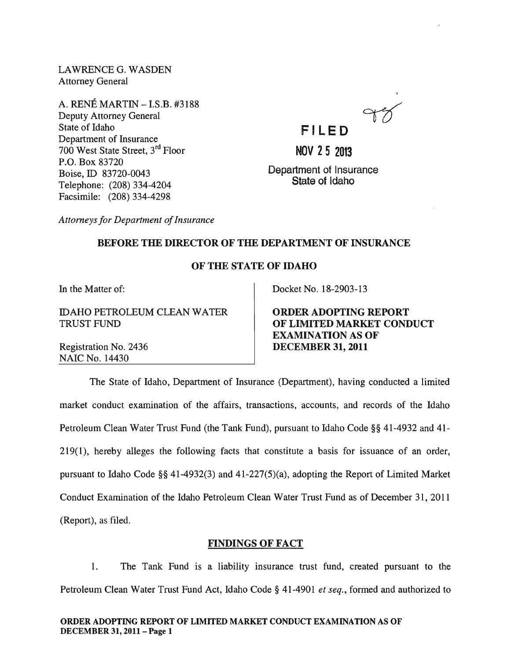LAWRENCE G. WASDEN Attorney General

A. RENE MARTIN -I.S.B. #3188 Deputy Attorney General State of Idaho Department of Insurance 700 West State Street, 3rd Floor P.O. Box 83720 Boise, ID 83720-0043 Telephone: (208) 334-4204 Facsimile: (208) 334-4298



**FI LE D** 

NOV 25 2013

Department of Insurance State of Idaho

*Attorneys for Department of Insurance* 

#### BEFORE THE DIRECTOR OF THE DEPARTMENT OF INSURANCE

### OF THE STATE OF IDAHO

In the Matter of:

IDAHO PETROLEUM CLEAN WATER TRUST FUND

Registration No. 2436 NAIC No. 14430

Docket No. 18-2903-13

ORDER ADOPTING REPORT OF LIMITED MARKET CONDUCT EXAMINATION AS OF DECEMBER 31, 2011

The State of Idaho, Department of Insurance (Department), having conducted a limited market conduct examination of the affairs, transactions, accounts, and records of the Idaho Petroleum Clean Water Trust Fund (the Tank Fund), pursuant to Idaho Code §§ 41-4932 and 41- 219(1), hereby alleges the following facts that constitute a basis for issuance of an order, pursuant to Idaho Code §§ 41-4932(3) and 41-227(5)(a), adopting the Report of Limited Market Conduct Examination of the Idaho Petroleum Clean Water Trust Fund as of December 31, 2011 (Report), as filed.

#### FINDINGS OF FACT

1. The Tank Fund is a liability insurance trust fund, created pursuant to the Petroleum Clean Water Trust Fund Act, Idaho Code § 41-4901 *et seq.,* formed and authorized to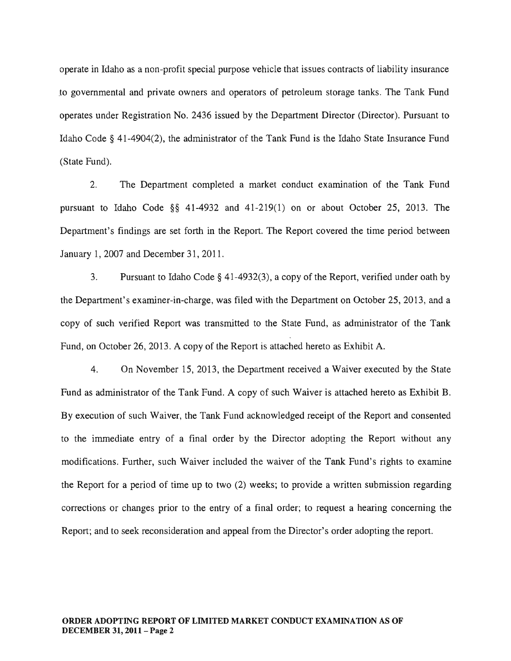operate in Idaho as a non-profit special purpose vehicle that issues contracts of liability insurance .to governmental and private owners and operators of petroleum storage tanks. The Tank Fund operates under Registration No. 2436 issued by the Department Director (Director). Pursuant to Idaho Code § 41-4904(2), the administrator of the Tank Fund is the Idaho State Insurance Fund (State Fund).

2. The Department completed a market conduct examination of the Tank Fund pursuant to Idaho Code §§ 41-4932 and 41-219(1) on or about October 25, 2013. The Department's findings are set forth in the Report. The Report covered the time period between January 1,2007 and December 31, 2011.

3. Pursuant to Idaho Code § 41-4932(3), a copy of the Report, verified under oath by the Department's examiner-in-charge, was filed with the Department on October 25,2013, and a copy of such verified Report was transmitted to the State Fund, as administrator of the Tank Fund, on October 26, 2013. A copy of the Report is attached hereto as Exhibit A.

4. On November 15, 2013, the Department received a Waiver executed by the State Fund as administrator of the Tank Fund. A copy of such Waiver is attached hereto as Exhibit B. By execution of such Waiver, the Tank Fund acknowledged receipt of the Report and consented to the immediate entry of a final order by the Director adopting the Report without any modifications. Further, such Waiver included the waiver of the Tank Fund's rights to examine the Report for a period of time up to two (2) weeks; to provide a written submission regarding corrections or changes prior to the entry of a final order; to request a hearing concerning the Report; and to seek reconsideration and appeal from the Director's order adopting the report.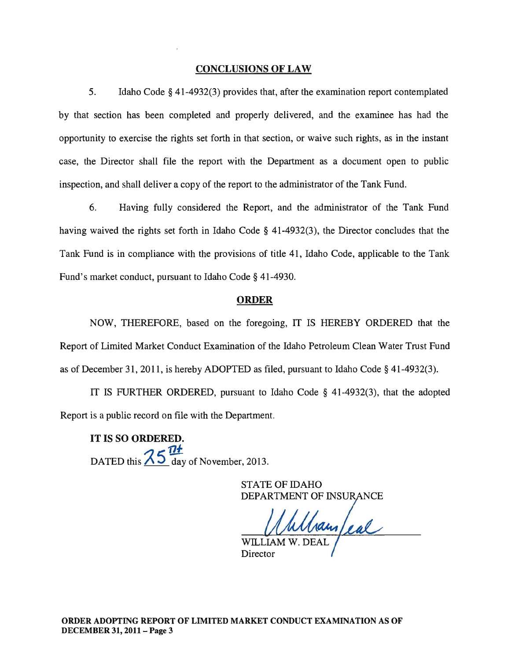#### CONCLUSIONS OF LAW

5. Idaho Code § 41-4932(3) provides that, after the examination report contemplated by that section has been completed and properly delivered, and the examinee has had the opportunity to exercise the rights set forth in that section, or waive such rights, as in the instant case, the Director shall file the report with the Department as a document open to public inspection, and shall deliver a copy of the report to the administrator of the Tank Fund.

6. Having fully considered the Report, and the administrator of the Tank Fund having waived the rights set forth in Idaho Code § 41-4932(3), the Director concludes that the Tank Fund is in compliance with the provisions of title 41, Idaho Code, applicable to the Tank Fund's market conduct, pursuant to Idaho Code § 41-4930.

#### ORDER

NOW, THEREFORE, based on the foregoing, IT IS HEREBY ORDERED that the Report of Limited Market Conduct Examination of the Idaho Petroleum Clean Water Trust Fund as of December 31, 2011, is hereby ADOPTED as filed, pursuant to Idaho Code § 41-4932(3).

IT IS FURTHER ORDERED, pursuant to Idaho Code § 41-4932(3), that the adopted Report is a public record on file with the Department.

IT IS SO ORDERED. DATED this  $\frac{75.71}{5}$  day of November, 2013.

> STATE OF IDAHO DEPARTMENT OF INSURANCE

hamfeal

WILLIAM **Director**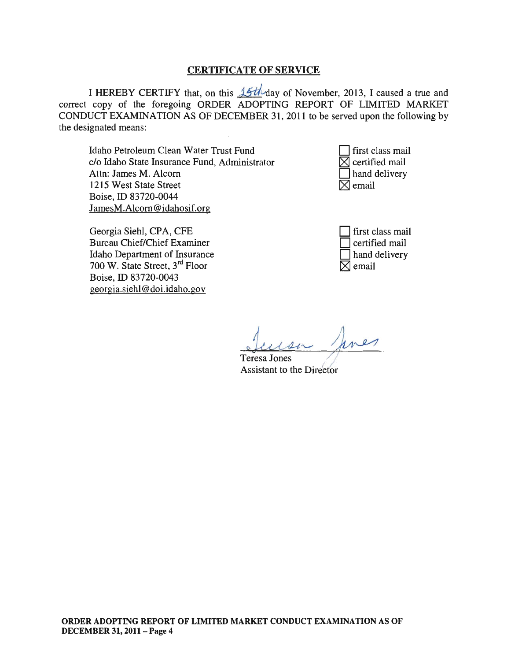#### CERTIFICATE OF SERVICE

I HEREBY CERTIFY that, on this  $\frac{1}{2}$ th day of November, 2013, I caused a true and correct copy of the foregoing ORDER ADOPTING REPORT OF LIMITED MARKET CONDUCT EXAMINATION AS OF DECEMBER 31, 2011 to be served upon the following by the designated means:

Idaho Petroleum Clean Water Trust Fund c/o Idaho State Insurance Fund, Administrator Attn: James M. Alcorn 1215 West State Street Boise, ID 83720-0044 JamesM.Alcorn@idahosif.org



| Georgia Siehl, CPA, CFE        |
|--------------------------------|
| Bureau Chief/Chief Examiner    |
| Idaho Department of Insurance  |
| 700 W. State Street, 3rd Floor |
| Boise, ID 83720-0043           |
| georgia.siehl@doi.idaho.gov    |

| first class mail |
|------------------|
| certified mail   |
| hand delivery    |
| ] email          |

Javes Teresa Jones ~

Assistant to the Director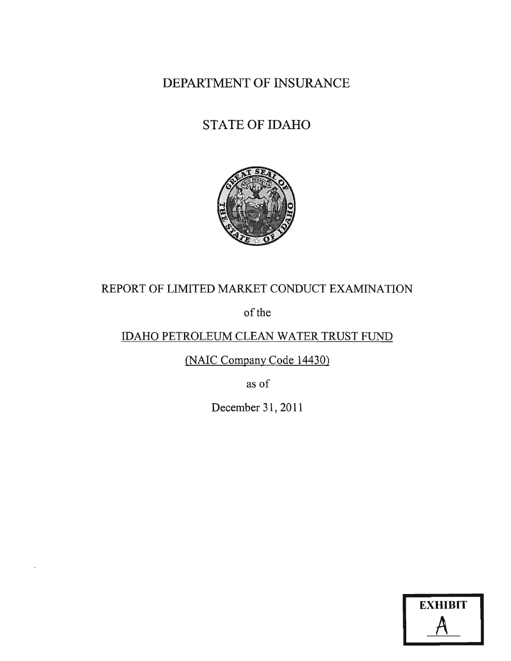DEPARTMENT OF INSURANCE

# STATE OF IDAHO



## REPORT OF LIMITED MARKET CONDUCT EXAMINATION

of the

# IDAHO PETROLEUM CLEAN WATER TRUST FUND

(NAIC Company Code 14430)

as of

December 31, 2011

| <b>EXHIBIT</b> |
|----------------|
|                |
|                |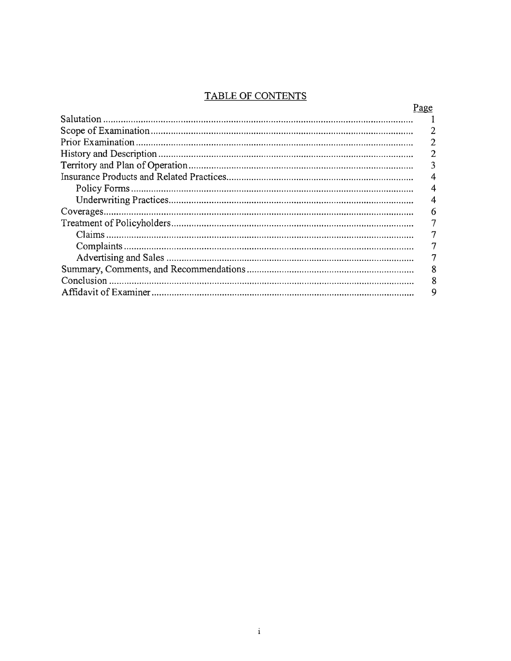## **TABLE OF CONTENTS**

| <u>Page</u> |
|-------------|
|             |
| 2           |
|             |
|             |
| 3           |
| 4           |
|             |
|             |
| 6           |
| 7           |
| 7           |
|             |
|             |
| 8           |
| 8           |
|             |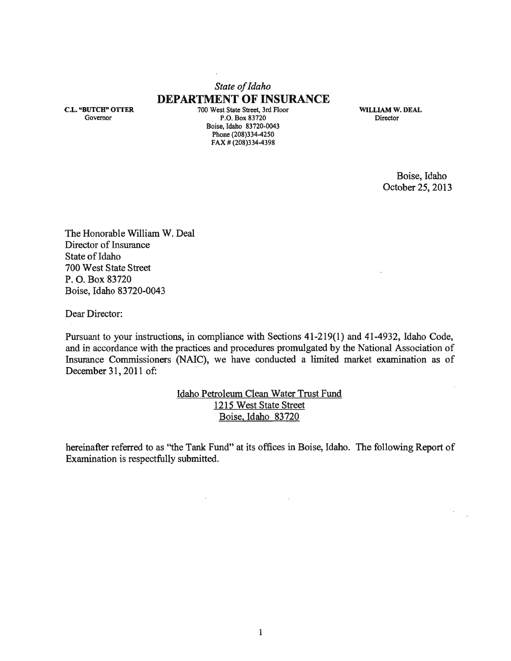## *State of Idaho*  **DEPARTMENT OF INSURANCE**

C.L. "BUTCH" OITER Governor

700 West State Street, 3rd Floor P.O. Box 83720 Boise, Idaho 83720-0043 Phone (208)334-4250  $FAX # (208)334-4398$ 

WILLIAM W. DEAL Director

> Boise, Idaho October 25, 2013

The Honorable William W. Deal Director of Insurance State of Idaho 700 West State Street P. O. Box 83720 Boise, Idaho 83720-0043

Dear Director:

Pursuant to your instructions, in compliance with Sections 41-219(1) and 41-4932, Idaho Code, and in accordance with the practices and procedures promulgated by the National Association of Insurance Commissioners (NAIC), we have conducted a limited market examination as of December 31, 2011 of:

> Idaho Petroleum Clean Water Trust Fund 1215 West State Street Boise, Idaho 83720

hereinafter referred to as ''the Tank Fund" at its offices in Boise, Idaho. The following Report of Examination is respectfully submitted.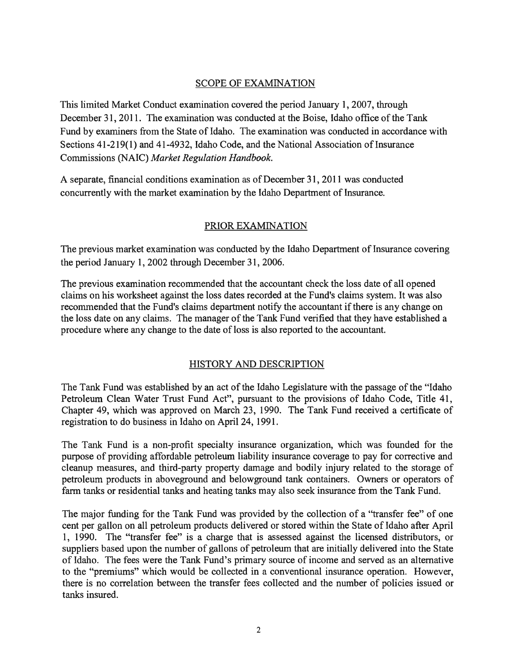#### SCOPE OF EXAMINATION

This limited Market Conduct examination covered the period January 1,2007, through December 31, 2011. The examination was conducted at the Boise, Idaho office of the Tank Fund by examiners from the State of Idaho. The examination was conducted in accordance with Sections 41-219(1) and 41-4932, Idaho Code, and the National Association of Insurance Commissions (NAIC) *Market Regulation Handbook.* 

A separate, financial conditions examination as of December 31,2011 was conducted concurrently with the market examination by the Idaho Department of Insurance.

#### PRIOR EXAMINATION

The previous market examination was conducted by the Idaho Department of Insurance covering the period January 1, 2002 through December 31, 2006.

The previous examination recommended that the accountant check the loss date of all opened claims on his worksheet against the loss dates recorded at the Fund's claims system. It was also recommended that the Fund's claims department notify the accountant if there is any change on the loss date on any claims. The manager of the Tank Fund verified that they have established a procedure where any change to the date of loss is also reported to the accountant.

#### HISTORY AND DESCRIPTION

The Tank Fund was established by an act of the Idaho Legislature with the passage of the "Idaho Petroleum Clean Water Trust Fund Act", pursuant to the provisions of Idaho Code, Title 41, Chapter 49, which was approved on March 23, 1990. The Tank Fund received a certificate of registration to do business in Idaho on April 24, 1991.

The Tank Fund is a non-profit specialty insurance organization, which was founded for the purpose of providing affordable petroleum liability insurance coverage to pay for corrective and cleanup measures, and third-party property damage and bodily injury related to the storage of petroleum products in aboveground and belowground tank containers. Owners or operators of farm tanks or residential tanks and heating tanks may also seek insurance from the Tank Fund.

The major funding for the Tank Fund was provided by the collection of a "transfer fee" of one cent per gallon on all petroleum products delivered or stored within the State of Idaho after April 1, 1990. The "transfer fee" is a charge that is assessed against the licensed distributors, or suppliers based upon the number of gallons of petroleum that are initially delivered into the State of Idaho. The fees were the Tank Fund's primary source of income and served as an alternative to the "premiums" which would be collected in a conventional insurance operation. However, there is no correlation between the transfer fees collected and the number of policies issued or tanks insured.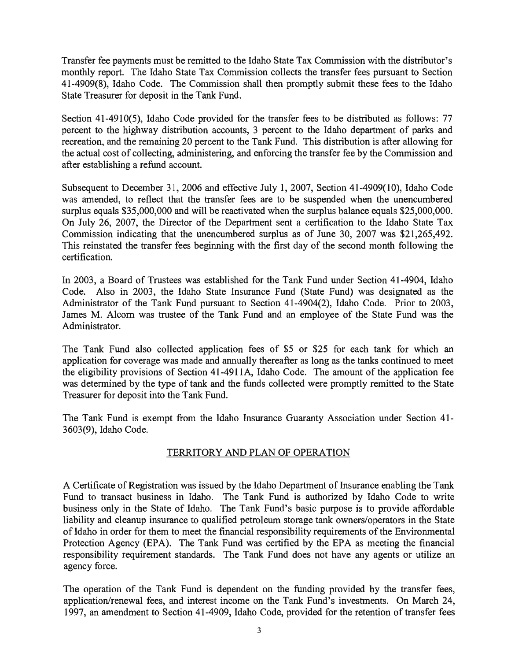Transfer fee payments must be remitted to the Idaho State Tax Commission with the distributor's monthly report. The Idaho State Tax Commission collects the transfer fees pursuant to Section 41-4909(8), Idaho Code. The Commission shall then promptly submit these fees to the Idaho State Treasurer for deposit in the Tank Fund.

Section 41-4910(5), Idaho Code provided for the transfer fees to be distributed as follows: 77 percent to the highway distribution accounts, 3 percent to the Idaho department of parks and recreation, and the remaining 20 percent to the Tank Fund. This distribution is after allowing for the actual cost of collecting, administering, and enforcing the transfer fee by the Commission and after establishing a refund account.

Subsequent to December 31,2006 and effective July 1, 2007, Section 41-4909(10), Idaho Code was amended, to reflect that the transfer fees are to be suspended when the unencumbered surplus equals \$35,000,000 and will be reactivated when the surplus balance equals \$25,000,000. On July 26, 2007, the Director of the Department sent a certification to the Idaho State Tax Commission indicating that the unencumbered surplus as of June 30, 2007 was \$21,265,492. This reinstated the transfer fees beginning with the first day of the second month following the certification.

In 2003, a Board of Trustees was established for the Tank Fund under Section 41-4904, Idaho Code. Also in 2003, the Idaho State Insurance Fund (State Fund) was designated as the Administrator of the Tank Fund pursuant to Section 41-4904(2), Idaho Code. Prior to 2003, James M. Alcorn was trustee of the Tank Fund and an employee of the State Fund was the Administrator.

The Tank Fund also collected application fees of \$5 or \$25 for each tank for which an application for coverage was made and annually thereafter as long as the tanks continued to meet the eligibility provisions of Section 41-4911A, Idaho Code. The amount of the application fee was determined by the type of tank and the funds collected were promptly remitted to the State Treasurer for deposit into the Tank Fund.

The Tank Fund is exempt from the Idaho Insurance Guaranty Association under Section 41- 3603(9), Idaho Code.

#### TERRITORY AND PLAN OF OPERATION

A Certificate of Registration was issued by the Idaho Department of Insurance enabling the Tank Fund to transact business in Idaho. The Tank Fund is authorized by Idaho Code to write business only in the State of Idaho. The Tank Fund's basic purpose is to provide affordable liability and cleanup insurance to qualified petroleum storage tank owners/operators in the State of Idaho in order for them to meet the financial responsibility requirements of the Environmental Protection Agency (EPA). The Tank Fund was certified by the EPA as meeting the financial responsibility requirement standards. The Tank Fund does not have any agents or utilize an agency force.

The operation of the Tank Fund is dependent on the funding provided by the transfer fees, application/renewal fees, and interest income on the Tank Fund's investments. On March 24, 1997, an amendment to Section 41-4909, Idaho Code, provided for the retention of transfer fees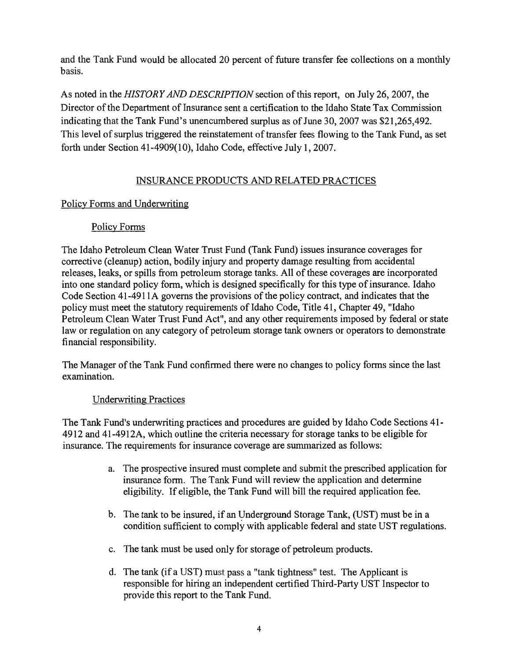and the Tank Fund would be allocated 20 percent of future transfer fee collections on a monthly basis.

As noted in the *HISTORY AND DESCRIPTION* section of this report, on July 26,2007, the Director of the Department of Insurance sent a certification to the Idaho State Tax Commission indicating that the Tank Fund's unencumbered surplus as of June 30,2007 was \$21,265,492. This level of surplus triggered the reinstatement of transfer fees flowing to the Tank Fund, as set forth under Section 41-4909(10), Idaho Code, effective July 1, 2007.

### INSURANCE PRODUCTS AND RELATED PRACTICES

#### Policy Forms and Underwriting

### Policy Forms

The Idaho Petroleum Clean Water Trust Fund (Tank Fund) issues insurance coverages for corrective (cleanup) action, bodily injury and property damage resulting from accidental releases, leaks, or spills from petroleum storage tanks. All of these coverages are incorporated into one standard policy form, which is designed specifically for this type of insurance. Idaho Code Section 41-4911A governs the provisions of the policy contract, and indicates that the policy must meet the statutory requirements of Idaho Code, Title 41, Chapter 49, "Idaho Petroleum Clean Water Trust Fund Act", and any other requirements imposed by federal or state law or regulation on any category of petroleum storage tank owners or operators to demonstrate financial responsibility.

The Manager of the Tank Fund confirmed there were no changes to policy forms since the last examination.

#### Underwriting Practices

The Tank Fund's underwriting practices and procedures are guided by Idaho Code Sections 41- 4912 and 41-4912A, which outline the criteria necessary for storage tanks to be eligible for insurance. The requirements for insurance coverage are summarized as follows:

- a. The prospective insured must complete and submit the prescribed application for insurance form. The Tank Fund will review the application and determine eligibility. If eligible, the Tank Fund will bill the required application fee.
- b. The tank to be insured, if an Underground Storage Tank, (UST) must be in a condition sufficient to comply with applicable federal and state UST regulations.
- c. The tank must be used only for storage of petroleum products.
- d. The tank (if a UST) must pass a "tank tightness" test. The Applicant is responsible for hiring an independent certified Third-Party UST Inspector to provide this report to the Tank Fund.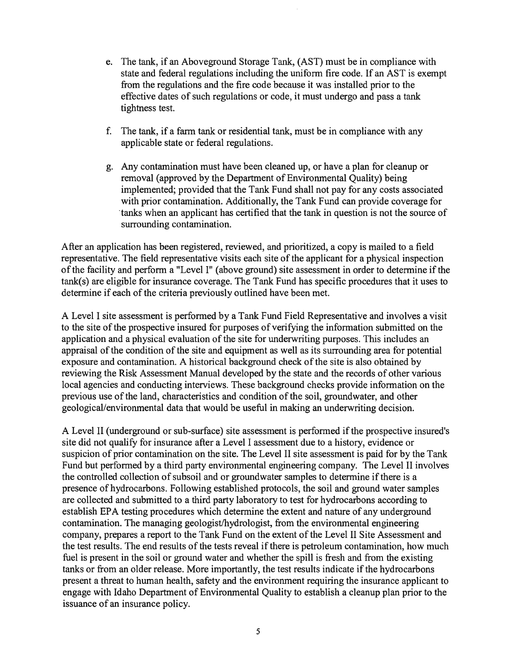- e. The tank, if an Aboveground Storage Tank, (AST) must be in compliance with state and federal regulations including the uniform fire code. If an AST is exempt from the regulations and the fire code because it was installed prior to the effective dates of such regulations or code, it must undergo and pass a tank tightness test.
- f. The tank, if a farm tank or residential tank, must be in compliance with any applicable state or federal regulations.
- g. Any contamination must have been cleaned up, or have a plan for cleanup or removal (approved by the Department of Environmental Quality) being implemented; provided that the Tank Fund shall not pay for any costs associated with prior contamination. Additionally, the Tank Fund can provide coverage for tanks when an applicant has certified that the tank in question is not the source of surrounding contamination.

After an application has been registered, reviewed, and prioritized, a copy is mailed to a field representative. The field representative visits each site of the applicant for a physical inspection of the facility and perform a "Level I" (above ground) site assessment in order to determine if the tank(s) are eligible for insurance coverage. The Tank Fund has specific procedures that it uses to determine if each of the criteria previously outlined have been met.

A Level I site assessment is performed by a Tank Fund Field Representative and involves a visit to the site of the prospective insured for purposes of verifying the information submitted on the application and a physical evaluation of the site for underwriting purposes. This includes an appraisal of the condition of the site and equipment as well as its surrounding area for potential exposure and contamination. A historical background check of the site is also obtained by reviewing the Risk Assessment Manual developed by the state and the records of other various local agencies and conducting interviews. These background checks provide information on the previous use of the land, characteristics and condition of the soil, groundwater, and other geological/environmental data that would be useful in making an underwriting decision.

A Level II (underground or sub-surface) site assessment is performed if the prospective insured's site did not qualify for insurance after a Level I assessment due to a history, evidence or suspicion of prior contamination on the site. The Level II site assessment is paid for by the Tank Fund but performed by a third party environmental engineering company. The Level II involves the controlled collection of subsoil and or groundwater samples to determine if there is a presence of hydrocarbons. Following established protocols, the soil and ground water samples are collected and submitted to a third party laboratory to test for hydrocarbons according to establish EPA testing procedures which determine the extent and nature of any underground contamination. The managing geologist/hydrologist, from the environmental engineering company, prepares a report to the Tank Fund on the extent of the Level II Site Assessment and the test results. The end results of the tests reveal if there is petroleum contamination, how much fuel is present in the soil or ground water and whether the spill is fresh and from the existing tanks or from an older release. More importantly, the test results indicate if the hydrocarbons present a threat to human health, safety and the environment requiring the insurance applicant to engage with Idaho Department of Environmental Quality to establish a cleanup plan prior to the issuance of an insurance policy.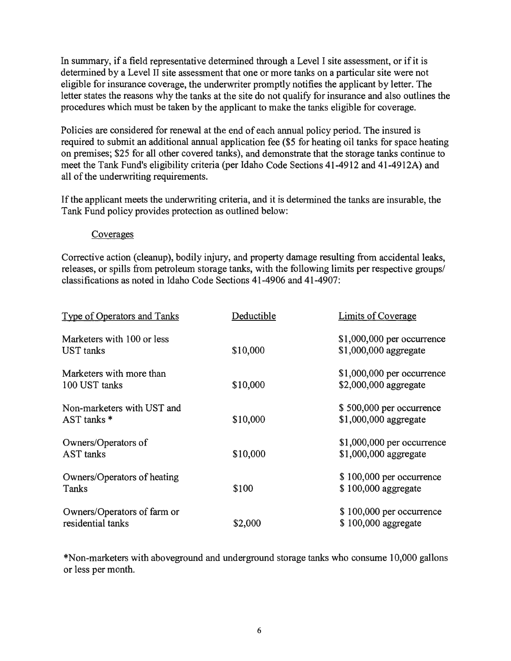In summary, if a field representative determined through a Level I site assessment, or if it is determined by a Level II site assessment that one or more tanks on a particular site were not eligible for insurance coverage, the underwriter promptly notifies the applicant by letter. The letter states the reasons why the tanks at the site do not qualify for insurance and also outlines the procedures which must be taken by the applicant to make the tanks eligible for coverage.

Policies are considered for renewal at the end of each annual policy period. The insured is required to submit an additional annual application fee (\$5 for heating oil tanks for space heating on premises; \$25 for all other covered tanks), and demonstrate that the storage tanks continue to meet the Tank Fund's eligibility criteria (per Idaho Code Sections 41-4912 and 41-4912A) and all of the underwriting requirements.

If the applicant meets the underwriting criteria, and it is determined the tanks are insurable, the Tank Fund policy provides protection as outlined below:

#### Coverages

Corrective action (cleanup), bodily injury, and property damage resulting from accidental leaks, releases, or spills from petroleum storage tanks, with the following limits per respective groups/ classifications as noted in Idaho Code Sections 41-4906 and 41-4907:

| Type of Operators and Tanks | Deductible | Limits of Coverage          |
|-----------------------------|------------|-----------------------------|
| Marketers with 100 or less  |            | \$1,000,000 per occurrence  |
| <b>UST</b> tanks            | \$10,000   | \$1,000,000 aggregate       |
| Marketers with more than    |            | $$1,000,000$ per occurrence |
| 100 UST tanks               | \$10,000   | \$2,000,000 aggregate       |
| Non-marketers with UST and  |            | \$500,000 per occurrence    |
| AST tanks *                 | \$10,000   | \$1,000,000 aggregate       |
| Owners/Operators of         |            | $$1,000,000$ per occurrence |
| <b>AST</b> tanks            | \$10,000   | \$1,000,000 aggregate       |
| Owners/Operators of heating |            | \$100,000 per occurrence    |
| Tanks                       | \$100      | \$100,000 aggregate         |
| Owners/Operators of farm or |            | $$100,000$ per occurrence   |
| residential tanks           | \$2,000    | \$100,000 aggregate         |

\*Non-marketers with aboveground and underground storage tanks who consume 10,000 gallons or less per month.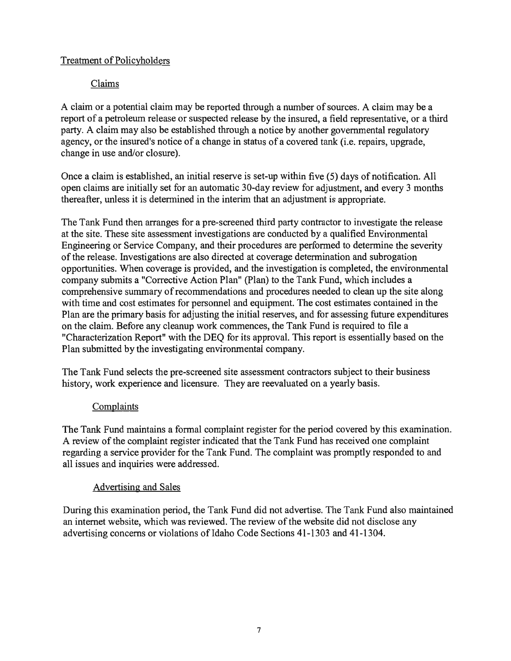## Treatment of Policyholders

## Claims

A claim or a potential claim may be reported through a number of sources. A claim may be a report of a petroleum release or suspected release by the insured, a field representative, or a third party. A claim may also be established through a notice by another governmental regulatory agency, or the insured's notice of a change in status of a covered tank (i.e. repairs, upgrade, change in use and/or closure).

Once a claim is established, an initial reserve is set-up within five (5) days of notification. All open claims are initially set for an automatic 30-day review for adjustment, and every 3 months thereafter, unless it is determined in the interim that an adjustment is appropriate.

The Tank Fund then arranges for a pre-screened third party contractor to investigate the release at the site. These site assessment investigations are conducted by a qualified Environmental Engineering or Service Company, and their procedures are performed to determine the severity of the release. Investigations are also directed at coverage determination and subrogation opportunities. When coverage is provided, and the investigation is completed, the environmental company submits a "Corrective Action Plan" (Plan) to the Tank Fund, which includes a comprehensive summary of recommendations and procedures needed to clean up the site along with time and cost estimates for personnel and equipment. The cost estimates contained in the Plan are the primary basis for adjusting the initial reserves, and for assessing future expenditures on the claim. Before any cleanup work commences, the Tank Fund is required to file a "Characterization Report" with the DEQ for its approval. This report is essentially based on the Plan submitted by the investigating environmental company.

The Tank Fund selects the pre-screened site assessment contractors subject to their business history, work experience and licensure. They are reevaluated on a yearly basis.

#### Complaints

The Tank Fund maintains a formal complaint register for the period covered by this examination. A review of the complaint register indicated that the Tank Fund has received one complaint regarding a service provider for the Tank Fund. The complaint was promptly responded to and all issues and inquiries were addressed.

#### Advertising and Sales

During this examination period, the Tank Fund did not advertise. The Tank Fund also maintained an internet website, which was reviewed. The review of the website did not disclose any advertising concerns or violations of Idaho Code Sections 41-1303 and 41-1304.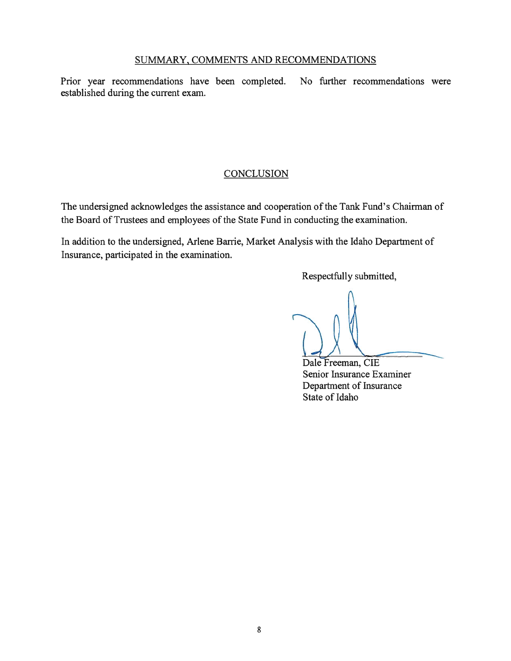#### SUMMARY, COMMENTS AND RECOMMENDATIONS

Prior year recommendations have been completed. No further recommendations were established during the current exam.

#### **CONCLUSION**

The undersigned acknowledges the assistance and cooperation of the Tank Fund's Chairman of the Board of Trustees and employees of the State Fund in conducting the examination.

In addition to the undersigned, Arlene Barrie, Market Analysis with the Idaho Department of Insurance, participated in the examination.

Respectfully submitted,

Dale Freeman, CIE Senior Insurance Examiner Department of Insurance State of Idaho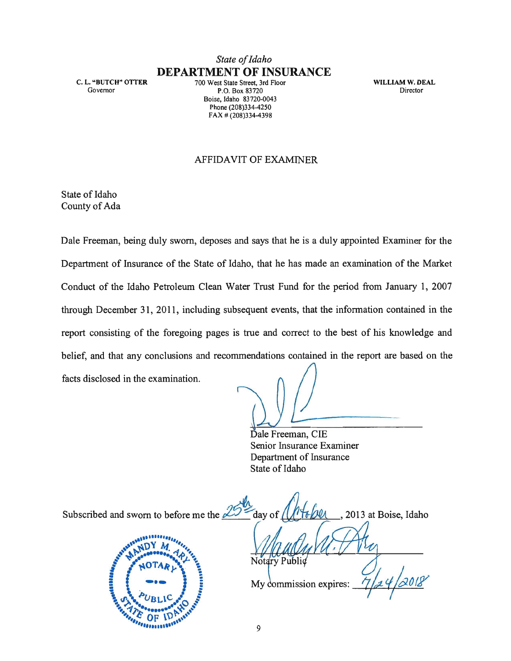## *State of Idaho*  **DEPARTMENT OF INSURANCE**

C. L. "BUTCH" OTTER Governor

700 West State Street, 3rd Floor P.O. Box 83720 Boise, Idaho 83720-0043 Phone (208)334-4250 FAX # (208)334-4398

WILLIAM W. DEAL Director

#### AFFIDAVIT OF EXAMINER

State of Idaho County of Ada

Dale Freeman, being duly sworn, deposes and says that he is a duly appointed Examiner for the Department of Insurance of the State of Idaho, that he has made an examination of the Market Conduct of the Idaho Petroleum Clean Water Trust Fund for the period from January 1, 2007 through December 31, 2011, including subsequent events, that the information contained in the report consisting of the foregoing pages is true and correct to the best of his knowledge and belief, and that any conclusions and recommendations contained in the report are based on the facts disclosed in the examination.

Dale Freeman, CIE

Senior Insurance Examiner Department of Insurance State of Idaho

Subscribed and sworn to before me the  $25 -$  day of  $\sqrt{16/2}$ , 2013 at Boise, Idaho Notary Public My commission expires:

*<u>PRESESSESSES</u>*